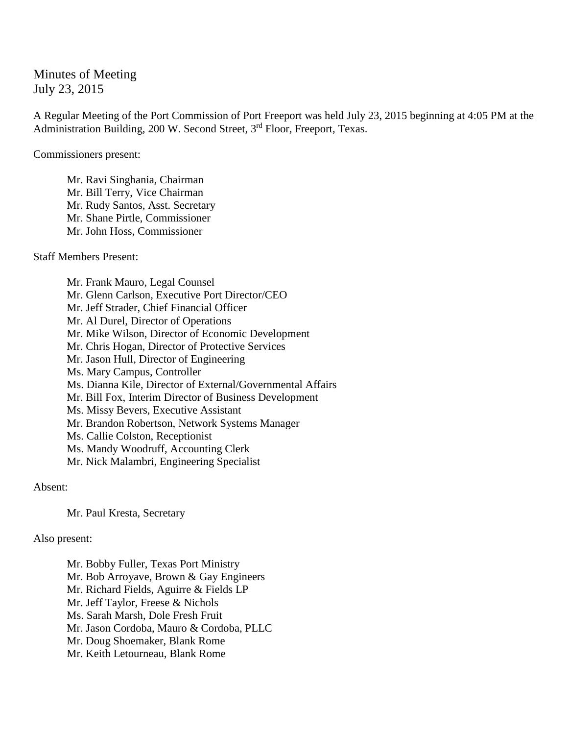Minutes of Meeting July 23, 2015

A Regular Meeting of the Port Commission of Port Freeport was held July 23, 2015 beginning at 4:05 PM at the Administration Building, 200 W. Second Street, 3<sup>rd</sup> Floor, Freeport, Texas.

Commissioners present:

Mr. Ravi Singhania, Chairman Mr. Bill Terry, Vice Chairman Mr. Rudy Santos, Asst. Secretary Mr. Shane Pirtle, Commissioner Mr. John Hoss, Commissioner

Staff Members Present:

Mr. Frank Mauro, Legal Counsel Mr. Glenn Carlson, Executive Port Director/CEO Mr. Jeff Strader, Chief Financial Officer Mr. Al Durel, Director of Operations Mr. Mike Wilson, Director of Economic Development Mr. Chris Hogan, Director of Protective Services Mr. Jason Hull, Director of Engineering Ms. Mary Campus, Controller Ms. Dianna Kile, Director of External/Governmental Affairs Mr. Bill Fox, Interim Director of Business Development Ms. Missy Bevers, Executive Assistant Mr. Brandon Robertson, Network Systems Manager Ms. Callie Colston, Receptionist Ms. Mandy Woodruff, Accounting Clerk Mr. Nick Malambri, Engineering Specialist

Absent:

Mr. Paul Kresta, Secretary

Also present:

Mr. Bobby Fuller, Texas Port Ministry Mr. Bob Arroyave, Brown & Gay Engineers Mr. Richard Fields, Aguirre & Fields LP Mr. Jeff Taylor, Freese & Nichols Ms. Sarah Marsh, Dole Fresh Fruit Mr. Jason Cordoba, Mauro & Cordoba, PLLC Mr. Doug Shoemaker, Blank Rome Mr. Keith Letourneau, Blank Rome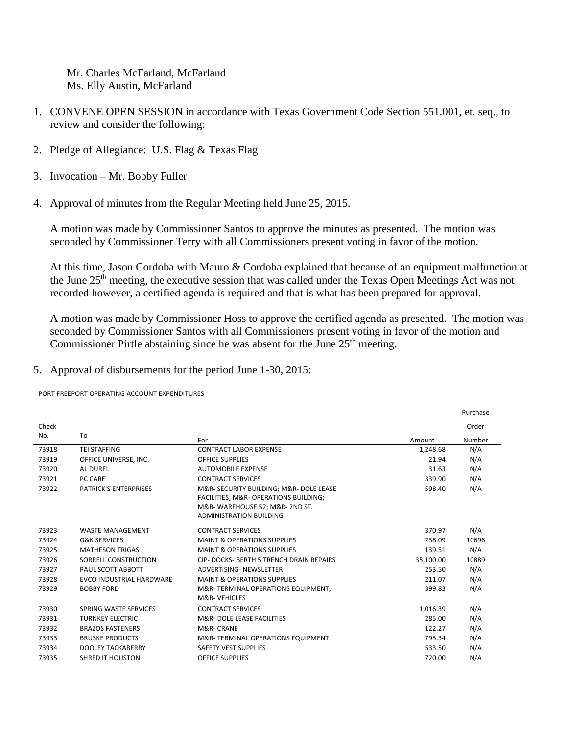Mr. Charles McFarland, McFarland Ms. Elly Austin, McFarland

- 1. CONVENE OPEN SESSION in accordance with Texas Government Code Section 551.001, et. seq., to review and consider the following:
- 2. Pledge of Allegiance: U.S. Flag & Texas Flag
- 3. Invocation Mr. Bobby Fuller
- 4. Approval of minutes from the Regular Meeting held June 25, 2015.

A motion was made by Commissioner Santos to approve the minutes as presented. The motion was seconded by Commissioner Terry with all Commissioners present voting in favor of the motion.

At this time, Jason Cordoba with Mauro & Cordoba explained that because of an equipment malfunction at the June 25th meeting, the executive session that was called under the Texas Open Meetings Act was not recorded however, a certified agenda is required and that is what has been prepared for approval.

A motion was made by Commissioner Hoss to approve the certified agenda as presented. The motion was seconded by Commissioner Santos with all Commissioners present voting in favor of the motion and Commissioner Pirtle abstaining since he was absent for the June 25<sup>th</sup> meeting.

5. Approval of disbursements for the period June 1-30, 2015:

PORT FREEPORT OPERATING ACCOUNT EXPENDITURES

|       |                              |                                                                                                                                                      |           | Purchase |
|-------|------------------------------|------------------------------------------------------------------------------------------------------------------------------------------------------|-----------|----------|
| Check |                              |                                                                                                                                                      |           | Order    |
| No.   | To                           | For                                                                                                                                                  | Amount    | Number   |
| 73918 | <b>TEI STAFFING</b>          | <b>CONTRACT LABOR EXPENSE</b>                                                                                                                        | 1,248.68  | N/A      |
| 73919 | OFFICE UNIVERSE, INC.        | <b>OFFICE SUPPLIES</b>                                                                                                                               | 21.94     | N/A      |
| 73920 | <b>AL DUREL</b>              | <b>AUTOMOBILE EXPENSE</b>                                                                                                                            | 31.63     | N/A      |
| 73921 | PC CARE                      | <b>CONTRACT SERVICES</b>                                                                                                                             | 339.90    | N/A      |
| 73922 | <b>PATRICK'S ENTERPRISES</b> | M&R- SECURITY BUILDING; M&R- DOLE LEASE<br>FACILITIES; M&R- OPERATIONS BUILDING;<br>M&R-WAREHOUSE 52; M&R- 2ND ST.<br><b>ADMINISTRATION BUILDING</b> | 598.40    | N/A      |
| 73923 | <b>WASTE MANAGEMENT</b>      | <b>CONTRACT SERVICES</b>                                                                                                                             | 370.97    | N/A      |
| 73924 | <b>G&amp;K SERVICES</b>      | <b>MAINT &amp; OPERATIONS SUPPLIES</b>                                                                                                               | 238.09    | 10696    |
| 73925 | <b>MATHESON TRIGAS</b>       | <b>MAINT &amp; OPERATIONS SUPPLIES</b>                                                                                                               | 139.51    | N/A      |
| 73926 | SORRELL CONSTRUCTION         | CIP- DOCKS- BERTH 5 TRENCH DRAIN REPAIRS                                                                                                             | 35,100.00 | 10889    |
| 73927 | PAUL SCOTT ABBOTT            | <b>ADVERTISING- NEWSLETTER</b>                                                                                                                       | 253.50    | N/A      |
| 73928 | EVCO INDUSTRIAL HARDWARE     | <b>MAINT &amp; OPERATIONS SUPPLIES</b>                                                                                                               | 211.07    | N/A      |
| 73929 | <b>BOBBY FORD</b>            | M&R-TERMINAL OPERATIONS EQUIPMENT;<br>M&R-VEHICLES                                                                                                   | 399.83    | N/A      |
| 73930 | SPRING WASTE SERVICES        | <b>CONTRACT SERVICES</b>                                                                                                                             | 1,016.39  | N/A      |
| 73931 | <b>TURNKEY ELECTRIC</b>      | M&R-DOLE LEASE FACILITIES                                                                                                                            | 285.00    | N/A      |
| 73932 | <b>BRAZOS FASTENERS</b>      | M&R-CRANE                                                                                                                                            | 122.27    | N/A      |
| 73933 | <b>BRUSKE PRODUCTS</b>       | M&R-TERMINAL OPERATIONS EQUIPMENT                                                                                                                    | 795.34    | N/A      |
| 73934 | <b>DOOLEY TACKABERRY</b>     | <b>SAFETY VEST SUPPLIES</b>                                                                                                                          | 533.50    | N/A      |
| 73935 | <b>SHRED IT HOUSTON</b>      | <b>OFFICE SUPPLIES</b>                                                                                                                               | 720.00    | N/A      |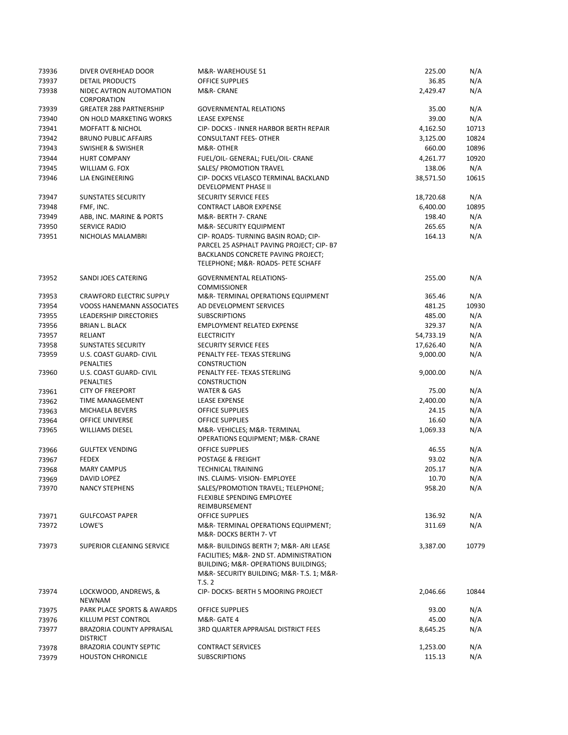| 73936 | DIVER OVERHEAD DOOR                          | M&R-WAREHOUSE 51                                                                                                                                                             | 225.00    | N/A   |
|-------|----------------------------------------------|------------------------------------------------------------------------------------------------------------------------------------------------------------------------------|-----------|-------|
| 73937 | <b>DETAIL PRODUCTS</b>                       | <b>OFFICE SUPPLIES</b>                                                                                                                                                       | 36.85     | N/A   |
| 73938 | NIDEC AVTRON AUTOMATION<br>CORPORATION       | M&R- CRANE                                                                                                                                                                   | 2,429.47  | N/A   |
| 73939 | <b>GREATER 288 PARTNERSHIP</b>               | <b>GOVERNMENTAL RELATIONS</b>                                                                                                                                                | 35.00     | N/A   |
| 73940 | ON HOLD MARKETING WORKS                      | <b>LEASE EXPENSE</b>                                                                                                                                                         | 39.00     | N/A   |
| 73941 | <b>MOFFATT &amp; NICHOL</b>                  | CIP- DOCKS - INNER HARBOR BERTH REPAIR                                                                                                                                       | 4,162.50  | 10713 |
| 73942 | <b>BRUNO PUBLIC AFFAIRS</b>                  | <b>CONSULTANT FEES- OTHER</b>                                                                                                                                                | 3,125.00  | 10824 |
| 73943 | <b>SWISHER &amp; SWISHER</b>                 | M&R-OTHER                                                                                                                                                                    | 660.00    | 10896 |
| 73944 | <b>HURT COMPANY</b>                          | FUEL/OIL- GENERAL; FUEL/OIL- CRANE                                                                                                                                           | 4,261.77  | 10920 |
| 73945 | WILLIAM G. FOX                               | SALES/ PROMOTION TRAVEL                                                                                                                                                      | 138.06    | N/A   |
| 73946 | LJA ENGINEERING                              | CIP- DOCKS VELASCO TERMINAL BACKLAND<br><b>DEVELOPMENT PHASE II</b>                                                                                                          | 38,571.50 | 10615 |
| 73947 | <b>SUNSTATES SECURITY</b>                    | SECURITY SERVICE FEES                                                                                                                                                        | 18,720.68 | N/A   |
| 73948 | FMF, INC.                                    | <b>CONTRACT LABOR EXPENSE</b>                                                                                                                                                | 6,400.00  | 10895 |
| 73949 | ABB, INC. MARINE & PORTS                     | M&R- BERTH 7- CRANE                                                                                                                                                          | 198.40    | N/A   |
| 73950 | SERVICE RADIO                                | M&R-SECURITY EQUIPMENT                                                                                                                                                       | 265.65    | N/A   |
| 73951 | NICHOLAS MALAMBRI                            | CIP- ROADS- TURNING BASIN ROAD; CIP-<br>PARCEL 25 ASPHALT PAVING PROJECT; CIP- B7<br>BACKLANDS CONCRETE PAVING PROJECT;<br>TELEPHONE; M&R- ROADS- PETE SCHAFF                | 164.13    | N/A   |
| 73952 | SANDI JOES CATERING                          | <b>GOVERNMENTAL RELATIONS-</b><br><b>COMMISSIONER</b>                                                                                                                        | 255.00    | N/A   |
| 73953 | <b>CRAWFORD ELECTRIC SUPPLY</b>              | M&R-TERMINAL OPERATIONS EQUIPMENT                                                                                                                                            | 365.46    | N/A   |
| 73954 | <b>VOOSS HANEMANN ASSOCIATES</b>             | AD DEVELOPMENT SERVICES                                                                                                                                                      | 481.25    | 10930 |
| 73955 | <b>LEADERSHIP DIRECTORIES</b>                | <b>SUBSCRIPTIONS</b>                                                                                                                                                         | 485.00    | N/A   |
| 73956 | <b>BRIAN L. BLACK</b>                        | <b>EMPLOYMENT RELATED EXPENSE</b>                                                                                                                                            | 329.37    | N/A   |
| 73957 | RELIANT                                      | <b>ELECTRICITY</b>                                                                                                                                                           | 54,733.19 | N/A   |
| 73958 | <b>SUNSTATES SECURITY</b>                    | SECURITY SERVICE FEES                                                                                                                                                        | 17,626.40 | N/A   |
| 73959 | U.S. COAST GUARD- CIVIL<br><b>PENALTIES</b>  | PENALTY FEE- TEXAS STERLING<br><b>CONSTRUCTION</b>                                                                                                                           | 9,000.00  | N/A   |
| 73960 | U.S. COAST GUARD- CIVIL<br>PENALTIES         | PENALTY FEE- TEXAS STERLING<br><b>CONSTRUCTION</b>                                                                                                                           | 9,000.00  | N/A   |
| 73961 | <b>CITY OF FREEPORT</b>                      | WATER & GAS                                                                                                                                                                  | 75.00     | N/A   |
| 73962 | TIME MANAGEMENT                              | LEASE EXPENSE                                                                                                                                                                | 2,400.00  | N/A   |
| 73963 | MICHAELA BEVERS                              | <b>OFFICE SUPPLIES</b>                                                                                                                                                       | 24.15     | N/A   |
| 73964 | OFFICE UNIVERSE                              | OFFICE SUPPLIES                                                                                                                                                              | 16.60     | N/A   |
| 73965 | <b>WILLIAMS DIESEL</b>                       | M&R-VEHICLES M&R-TERMINAL<br>OPERATIONS EQUIPMENT; M&R- CRANE                                                                                                                | 1,069.33  | N/A   |
| 73966 | <b>GULFTEX VENDING</b>                       | <b>OFFICE SUPPLIES</b>                                                                                                                                                       | 46.55     | N/A   |
| 73967 | <b>FEDEX</b>                                 | <b>POSTAGE &amp; FREIGHT</b>                                                                                                                                                 | 93.02     | N/A   |
| 73968 | <b>MARY CAMPUS</b>                           | <b>TECHNICAL TRAINING</b>                                                                                                                                                    | 205.17    | N/A   |
| 73969 | <b>DAVID LOPEZ</b>                           | INS. CLAIMS- VISION- EMPLOYEE                                                                                                                                                | 10.70     | N/A   |
| 73970 | <b>NANCY STEPHENS</b>                        | SALES/PROMOTION TRAVEL; TELEPHONE;<br>FLEXIBLE SPENDING EMPLOYEE<br>REIMBURSEMENT                                                                                            | 958.20    | N/A   |
| 73971 | <b>GULFCOAST PAPER</b>                       | OFFICE SUPPLIES                                                                                                                                                              | 136.92    | N/A   |
| 73972 | LOWE'S                                       | M&R-TERMINAL OPERATIONS EQUIPMENT;<br>M&R-DOCKS BERTH 7- VT                                                                                                                  | 311.69    | N/A   |
| 73973 | SUPERIOR CLEANING SERVICE                    | M&R-BUILDINGS BERTH 7; M&R-ARI LEASE<br>FACILITIES; M&R- 2ND ST. ADMINISTRATION<br>BUILDING; M&R- OPERATIONS BUILDINGS;<br>M&R-SECURITY BUILDING; M&R-T.S. 1; M&R-<br>T.S. 2 | 3,387.00  | 10779 |
| 73974 | LOCKWOOD, ANDREWS, &<br>NEWNAM               | CIP- DOCKS- BERTH 5 MOORING PROJECT                                                                                                                                          | 2,046.66  | 10844 |
| 73975 | PARK PLACE SPORTS & AWARDS                   | OFFICE SUPPLIES                                                                                                                                                              | 93.00     | N/A   |
| 73976 | KILLUM PEST CONTROL                          | M&R-GATE 4                                                                                                                                                                   | 45.00     | N/A   |
| 73977 | BRAZORIA COUNTY APPRAISAL<br><b>DISTRICT</b> | 3RD QUARTER APPRAISAL DISTRICT FEES                                                                                                                                          | 8,645.25  | N/A   |
| 73978 | <b>BRAZORIA COUNTY SEPTIC</b>                | <b>CONTRACT SERVICES</b>                                                                                                                                                     | 1,253.00  | N/A   |
| 73979 | <b>HOUSTON CHRONICLE</b>                     | <b>SUBSCRIPTIONS</b>                                                                                                                                                         | 115.13    | N/A   |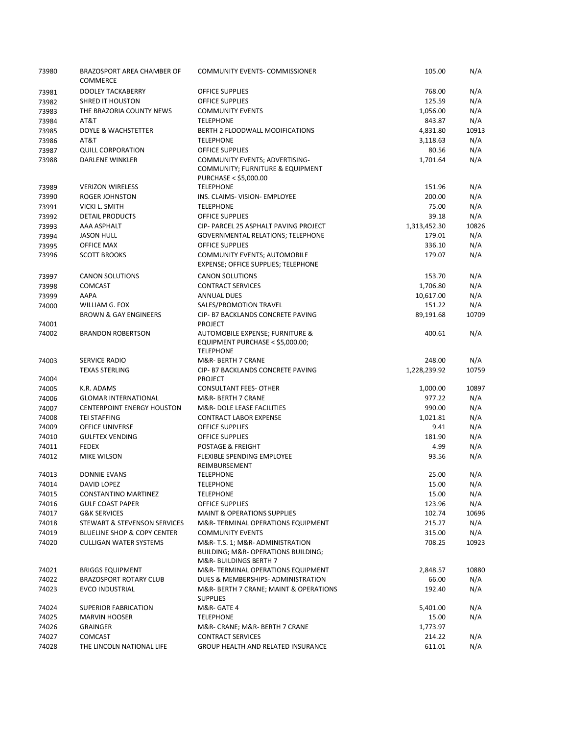| 73980          | BRAZOSPORT AREA CHAMBER OF<br><b>COMMERCE</b>                          | <b>COMMUNITY EVENTS- COMMISSIONER</b>                                                   | 105.00           | N/A          |
|----------------|------------------------------------------------------------------------|-----------------------------------------------------------------------------------------|------------------|--------------|
| 73981          | DOOLEY TACKABERRY                                                      | OFFICE SUPPLIES                                                                         | 768.00           | N/A          |
| 73982          | <b>SHRED IT HOUSTON</b>                                                | <b>OFFICE SUPPLIES</b>                                                                  | 125.59           | N/A          |
| 73983          | THE BRAZORIA COUNTY NEWS                                               | <b>COMMUNITY EVENTS</b>                                                                 | 1,056.00         | N/A          |
| 73984          | AT&T                                                                   | <b>TELEPHONE</b>                                                                        | 843.87           | N/A          |
| 73985          | DOYLE & WACHSTETTER                                                    | BERTH 2 FLOODWALL MODIFICATIONS                                                         | 4,831.80         | 10913        |
| 73986          | AT&T                                                                   | <b>TELEPHONE</b>                                                                        | 3,118.63         | N/A          |
| 73987          | <b>QUILL CORPORATION</b>                                               | <b>OFFICE SUPPLIES</b>                                                                  | 80.56            | N/A          |
| 73988          | <b>DARLENE WINKLER</b>                                                 | COMMUNITY EVENTS; ADVERTISING-                                                          | 1,701.64         | N/A          |
|                |                                                                        | COMMUNITY; FURNITURE & EQUIPMENT<br>PURCHASE < \$5,000.00                               |                  |              |
| 73989          | <b>VERIZON WIRELESS</b>                                                | <b>TELEPHONE</b>                                                                        | 151.96           | N/A          |
| 73990          | <b>ROGER JOHNSTON</b>                                                  | INS. CLAIMS- VISION- EMPLOYEE                                                           | 200.00           | N/A          |
| 73991          | <b>VICKI L. SMITH</b>                                                  | <b>TELEPHONE</b>                                                                        | 75.00            | N/A          |
| 73992          | <b>DETAIL PRODUCTS</b>                                                 | <b>OFFICE SUPPLIES</b>                                                                  | 39.18            | N/A          |
| 73993          | AAA ASPHALT                                                            | CIP- PARCEL 25 ASPHALT PAVING PROJECT                                                   | 1,313,452.30     | 10826        |
| 73994          | <b>JASON HULL</b>                                                      | <b>GOVERNMENTAL RELATIONS; TELEPHONE</b>                                                | 179.01           | N/A          |
| 73995          | <b>OFFICE MAX</b>                                                      | <b>OFFICE SUPPLIES</b>                                                                  | 336.10           | N/A          |
| 73996          | <b>SCOTT BROOKS</b>                                                    | <b>COMMUNITY EVENTS; AUTOMOBILE</b>                                                     | 179.07           | N/A          |
|                |                                                                        | EXPENSE; OFFICE SUPPLIES; TELEPHONE                                                     |                  |              |
| 73997          | <b>CANON SOLUTIONS</b>                                                 | <b>CANON SOLUTIONS</b>                                                                  | 153.70           | N/A          |
| 73998          | <b>COMCAST</b>                                                         | <b>CONTRACT SERVICES</b>                                                                | 1,706.80         | N/A          |
| 73999          | AAPA                                                                   | <b>ANNUAL DUES</b>                                                                      | 10,617.00        | N/A          |
| 74000          | WILLIAM G. FOX                                                         | SALES/PROMOTION TRAVEL                                                                  | 151.22           | N/A          |
|                | <b>BROWN &amp; GAY ENGINEERS</b>                                       | CIP- B7 BACKLANDS CONCRETE PAVING                                                       | 89,191.68        | 10709        |
| 74001          |                                                                        | <b>PROJECT</b>                                                                          |                  |              |
| 74002          | <b>BRANDON ROBERTSON</b>                                               | AUTOMOBILE EXPENSE; FURNITURE &<br>EQUIPMENT PURCHASE < \$5,000.00;<br><b>TELEPHONE</b> | 400.61           | N/A          |
| 74003          | SERVICE RADIO                                                          | M&R- BERTH 7 CRANE                                                                      | 248.00           | N/A          |
|                | <b>TEXAS STERLING</b>                                                  | CIP- B7 BACKLANDS CONCRETE PAVING                                                       | 1,228,239.92     | 10759        |
| 74004          |                                                                        | <b>PROJECT</b>                                                                          |                  |              |
| 74005          | K.R. ADAMS                                                             | <b>CONSULTANT FEES- OTHER</b>                                                           | 1,000.00         | 10897        |
| 74006          | <b>GLOMAR INTERNATIONAL</b>                                            | M&R- BERTH 7 CRANE                                                                      | 977.22           | N/A          |
| 74007          | <b>CENTERPOINT ENERGY HOUSTON</b>                                      | M&R- DOLE LEASE FACILITIES                                                              | 990.00           | N/A          |
| 74008          | <b>TEI STAFFING</b>                                                    | <b>CONTRACT LABOR EXPENSE</b>                                                           | 1,021.81         | N/A          |
| 74009          | OFFICE UNIVERSE                                                        | <b>OFFICE SUPPLIES</b>                                                                  | 9.41             | N/A          |
| 74010          | <b>GULFTEX VENDING</b>                                                 | <b>OFFICE SUPPLIES</b>                                                                  | 181.90           | N/A          |
| 74011          | <b>FEDEX</b>                                                           | <b>POSTAGE &amp; FREIGHT</b>                                                            | 4.99             | N/A          |
| 74012          | <b>MIKE WILSON</b>                                                     | FLEXIBLE SPENDING EMPLOYEE                                                              | 93.56            | N/A          |
|                | <b>DONNIE EVANS</b>                                                    | REIMBURSEMENT                                                                           |                  |              |
| 74013          |                                                                        | <b>TELEPHONE</b><br><b>TELEPHONE</b>                                                    | 25.00            | N/A          |
| 74014          | DAVID LOPEZ                                                            |                                                                                         | 15.00            | N/A          |
| 74015          | CONSTANTINO MARTINEZ                                                   | <b>TELEPHONE</b>                                                                        | 15.00            | N/A          |
| 74016          | <b>GULF COAST PAPER</b>                                                | OFFICE SUPPLIES                                                                         | 123.96           | N/A          |
| 74017          | <b>G&amp;K SERVICES</b>                                                | <b>MAINT &amp; OPERATIONS SUPPLIES</b>                                                  | 102.74           | 10696        |
| 74018          | STEWART & STEVENSON SERVICES<br><b>BLUELINE SHOP &amp; COPY CENTER</b> | M&R-TERMINAL OPERATIONS EQUIPMENT<br><b>COMMUNITY EVENTS</b>                            | 215.27           | N/A          |
| 74019<br>74020 | <b>CULLIGAN WATER SYSTEMS</b>                                          | M&R-T.S. 1; M&R-ADMINISTRATION                                                          | 315.00<br>708.25 | N/A<br>10923 |
|                |                                                                        | BUILDING; M&R- OPERATIONS BUILDING;<br>M&R- BUILDINGS BERTH 7                           |                  |              |
| 74021          | <b>BRIGGS EQUIPMENT</b>                                                | M&R-TERMINAL OPERATIONS EQUIPMENT                                                       | 2,848.57         | 10880        |
| 74022          | <b>BRAZOSPORT ROTARY CLUB</b>                                          | DUES & MEMBERSHIPS- ADMINISTRATION                                                      | 66.00            | N/A          |
| 74023          | <b>EVCO INDUSTRIAL</b>                                                 | M&R- BERTH 7 CRANE; MAINT & OPERATIONS<br><b>SUPPLIES</b>                               | 192.40           | N/A          |
| 74024          | <b>SUPERIOR FABRICATION</b>                                            | M&R-GATE 4                                                                              | 5,401.00         | N/A          |
| 74025          | <b>MARVIN HOOSER</b>                                                   | <b>TELEPHONE</b>                                                                        | 15.00            | N/A          |
| 74026          | <b>GRAINGER</b>                                                        | M&R- CRANE; M&R- BERTH 7 CRANE                                                          | 1,773.97         |              |
| 74027          | <b>COMCAST</b>                                                         | <b>CONTRACT SERVICES</b>                                                                | 214.22           | N/A          |
| 74028          | THE LINCOLN NATIONAL LIFE                                              | GROUP HEALTH AND RELATED INSURANCE                                                      | 611.01           | N/A          |
|                |                                                                        |                                                                                         |                  |              |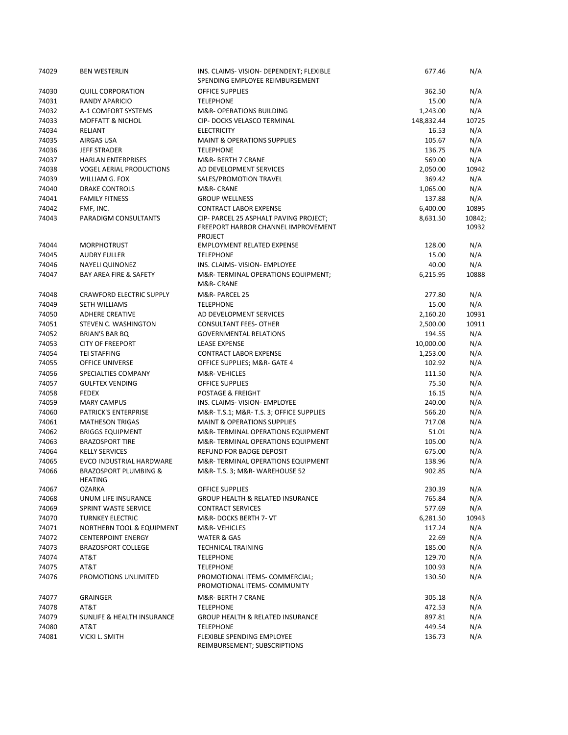| 74029 | <b>BEN WESTERLIN</b>                               | INS. CLAIMS-VISION-DEPENDENT; FLEXIBLE<br>SPENDING EMPLOYEE REIMBURSEMENT                       | 677.46     | N/A             |
|-------|----------------------------------------------------|-------------------------------------------------------------------------------------------------|------------|-----------------|
| 74030 | <b>QUILL CORPORATION</b>                           | <b>OFFICE SUPPLIES</b>                                                                          | 362.50     | N/A             |
| 74031 | <b>RANDY APARICIO</b>                              | <b>TELEPHONE</b>                                                                                | 15.00      | N/A             |
| 74032 | A-1 COMFORT SYSTEMS                                | M&R- OPERATIONS BUILDING                                                                        | 1,243.00   | N/A             |
| 74033 | <b>MOFFATT &amp; NICHOL</b>                        | <b>CIP- DOCKS VELASCO TERMINAL</b>                                                              | 148,832.44 | 10725           |
| 74034 | RELIANT                                            | <b>ELECTRICITY</b>                                                                              | 16.53      | N/A             |
| 74035 | AIRGAS USA                                         | <b>MAINT &amp; OPERATIONS SUPPLIES</b>                                                          | 105.67     | N/A             |
| 74036 | <b>JEFF STRADER</b>                                | <b>TELEPHONE</b>                                                                                | 136.75     | N/A             |
| 74037 | <b>HARLAN ENTERPRISES</b>                          | M&R- BERTH 7 CRANE                                                                              | 569.00     | N/A             |
| 74038 | <b>VOGEL AERIAL PRODUCTIONS</b>                    | AD DEVELOPMENT SERVICES                                                                         | 2,050.00   | 10942           |
| 74039 | WILLIAM G. FOX                                     | SALES/PROMOTION TRAVEL                                                                          | 369.42     | N/A             |
| 74040 | <b>DRAKE CONTROLS</b>                              | M&R-CRANE                                                                                       | 1,065.00   | N/A             |
| 74041 | <b>FAMILY FITNESS</b>                              | <b>GROUP WELLNESS</b>                                                                           | 137.88     | N/A             |
| 74042 | FMF, INC.                                          | <b>CONTRACT LABOR EXPENSE</b>                                                                   | 6,400.00   | 10895           |
| 74043 | PARADIGM CONSULTANTS                               | CIP- PARCEL 25 ASPHALT PAVING PROJECT;<br>FREEPORT HARBOR CHANNEL IMPROVEMENT<br><b>PROJECT</b> | 8,631.50   | 10842;<br>10932 |
| 74044 | <b>MORPHOTRUST</b>                                 | <b>EMPLOYMENT RELATED EXPENSE</b>                                                               | 128.00     | N/A             |
| 74045 | <b>AUDRY FULLER</b>                                | <b>TELEPHONE</b>                                                                                | 15.00      | N/A             |
| 74046 | <b>NAYELI QUINONEZ</b>                             | INS. CLAIMS- VISION- EMPLOYEE                                                                   | 40.00      | N/A             |
| 74047 | BAY AREA FIRE & SAFETY                             | M&R-TERMINAL OPERATIONS EQUIPMENT;<br>M&R-CRANE                                                 | 6,215.95   | 10888           |
| 74048 | <b>CRAWFORD ELECTRIC SUPPLY</b>                    | M&R- PARCEL 25                                                                                  | 277.80     | N/A             |
| 74049 | <b>SETH WILLIAMS</b>                               | <b>TELEPHONE</b>                                                                                | 15.00      | N/A             |
| 74050 | <b>ADHERE CREATIVE</b>                             | AD DEVELOPMENT SERVICES                                                                         | 2,160.20   | 10931           |
| 74051 | STEVEN C. WASHINGTON                               | <b>CONSULTANT FEES- OTHER</b>                                                                   | 2,500.00   | 10911           |
| 74052 | BRIAN'S BAR BQ                                     | <b>GOVERNMENTAL RELATIONS</b>                                                                   | 194.55     | N/A             |
| 74053 | <b>CITY OF FREEPORT</b>                            | <b>LEASE EXPENSE</b>                                                                            | 10,000.00  | N/A             |
| 74054 | <b>TEI STAFFING</b>                                | <b>CONTRACT LABOR EXPENSE</b>                                                                   | 1,253.00   | N/A             |
| 74055 | <b>OFFICE UNIVERSE</b>                             | OFFICE SUPPLIES; M&R- GATE 4                                                                    | 102.92     | N/A             |
| 74056 | SPECIALTIES COMPANY                                | M&R-VEHICLES                                                                                    | 111.50     | N/A             |
| 74057 | <b>GULFTEX VENDING</b>                             | <b>OFFICE SUPPLIES</b>                                                                          | 75.50      | N/A             |
| 74058 | <b>FEDEX</b>                                       | POSTAGE & FREIGHT                                                                               | 16.15      | N/A             |
| 74059 | <b>MARY CAMPUS</b>                                 | INS. CLAIMS- VISION- EMPLOYEE                                                                   | 240.00     | N/A             |
| 74060 | PATRICK'S ENTERPRISE                               | M&R-T.S.1 M&R-T.S. 3; OFFICE SUPPLIES                                                           | 566.20     | N/A             |
| 74061 | <b>MATHESON TRIGAS</b>                             | <b>MAINT &amp; OPERATIONS SUPPLIES</b>                                                          | 717.08     | N/A             |
| 74062 | <b>BRIGGS EQUIPMENT</b>                            | M&R-TERMINAL OPERATIONS EQUIPMENT                                                               | 51.01      | N/A             |
| 74063 | <b>BRAZOSPORT TIRE</b>                             | M&R-TERMINAL OPERATIONS EQUIPMENT                                                               | 105.00     | N/A             |
| 74064 | <b>KELLY SERVICES</b>                              | REFUND FOR BADGE DEPOSIT                                                                        | 675.00     | N/A             |
| 74065 | EVCO INDUSTRIAL HARDWARE                           | M&R-TERMINAL OPERATIONS EQUIPMENT                                                               | 138.96     | N/A             |
| 74066 | <b>BRAZOSPORT PLUMBING &amp;</b><br><b>HEATING</b> | M&R-T.S. 3; M&R-WAREHOUSE 52                                                                    | 902.85     | N/A             |
| 74067 | <b>OZARKA</b>                                      | <b>OFFICE SUPPLIES</b>                                                                          | 230.39     | N/A             |
| 74068 | UNUM LIFE INSURANCE                                | <b>GROUP HEALTH &amp; RELATED INSURANCE</b>                                                     | 765.84     | N/A             |
| 74069 | SPRINT WASTE SERVICE                               | <b>CONTRACT SERVICES</b>                                                                        | 577.69     | N/A             |
| 74070 | <b>TURNKEY ELECTRIC</b>                            | M&R-DOCKS BERTH 7- VT                                                                           | 6,281.50   | 10943           |
| 74071 | <b>NORTHERN TOOL &amp; EQUIPMENT</b>               | M&R-VEHICLES                                                                                    | 117.24     | N/A             |
| 74072 | <b>CENTERPOINT ENERGY</b>                          | WATER & GAS                                                                                     | 22.69      | N/A             |
| 74073 | <b>BRAZOSPORT COLLEGE</b>                          | <b>TECHNICAL TRAINING</b>                                                                       | 185.00     | N/A             |
| 74074 | AT&T                                               | <b>TELEPHONE</b>                                                                                | 129.70     | N/A             |
| 74075 | AT&T                                               | <b>TELEPHONE</b>                                                                                | 100.93     | N/A             |
| 74076 | PROMOTIONS UNLIMITED                               | PROMOTIONAL ITEMS- COMMERCIAL;<br>PROMOTIONAL ITEMS- COMMUNITY                                  | 130.50     | N/A             |
| 74077 | <b>GRAINGER</b>                                    | M&R- BERTH 7 CRANE                                                                              | 305.18     | N/A             |
| 74078 | AT&T                                               | <b>TELEPHONE</b>                                                                                | 472.53     | N/A             |
| 74079 | SUNLIFE & HEALTH INSURANCE                         | <b>GROUP HEALTH &amp; RELATED INSURANCE</b>                                                     | 897.81     | N/A             |
| 74080 | AT&T                                               | <b>TELEPHONE</b>                                                                                | 449.54     | N/A             |
| 74081 | VICKI L. SMITH                                     | <b>FLEXIBLE SPENDING EMPLOYEE</b><br>REIMBURSEMENT; SUBSCRIPTIONS                               | 136.73     | N/A             |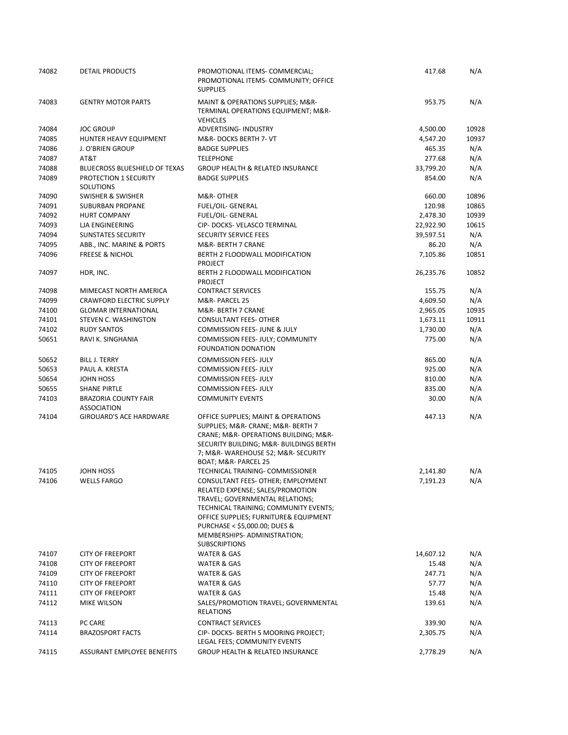| 74082 | DETAIL PRODUCTS                                   | PROMOTIONAL ITEMS- COMMERCIAL;<br>PROMOTIONAL ITEMS- COMMUNITY; OFFICE<br><b>SUPPLIES</b>                                                                                                                                                                                           | 417.68    | N/A   |
|-------|---------------------------------------------------|-------------------------------------------------------------------------------------------------------------------------------------------------------------------------------------------------------------------------------------------------------------------------------------|-----------|-------|
| 74083 | <b>GENTRY MOTOR PARTS</b>                         | MAINT & OPERATIONS SUPPLIES; M&R-<br>TERMINAL OPERATIONS EQUIPMENT; M&R-<br><b>VEHICLES</b>                                                                                                                                                                                         | 953.75    | N/A   |
| 74084 | <b>JOC GROUP</b>                                  | ADVERTISING- INDUSTRY                                                                                                                                                                                                                                                               | 4,500.00  | 10928 |
| 74085 | HUNTER HEAVY EQUIPMENT                            | M&R-DOCKS BERTH 7- VT                                                                                                                                                                                                                                                               | 4,547.20  | 10937 |
| 74086 | J. O'BRIEN GROUP                                  | <b>BADGE SUPPLIES</b>                                                                                                                                                                                                                                                               | 465.35    | N/A   |
| 74087 | AT&T                                              | <b>TELEPHONE</b>                                                                                                                                                                                                                                                                    | 277.68    | N/A   |
| 74088 | <b>BLUECROSS BLUESHIELD OF TEXAS</b>              | <b>GROUP HEALTH &amp; RELATED INSURANCE</b>                                                                                                                                                                                                                                         | 33,799.20 | N/A   |
| 74089 | PROTECTION 1 SECURITY<br>SOLUTIONS                | <b>BADGE SUPPLIES</b>                                                                                                                                                                                                                                                               | 854.00    | N/A   |
| 74090 | SWISHER & SWISHER                                 | M&R-OTHER                                                                                                                                                                                                                                                                           | 660.00    | 10896 |
| 74091 | SUBURBAN PROPANE                                  | FUEL/OIL- GENERAL                                                                                                                                                                                                                                                                   | 120.98    | 10865 |
| 74092 | <b>HURT COMPANY</b>                               | FUEL/OIL- GENERAL                                                                                                                                                                                                                                                                   | 2,478.30  | 10939 |
| 74093 | <b>LJA ENGINEERING</b>                            | CIP- DOCKS- VELASCO TERMINAL                                                                                                                                                                                                                                                        | 22,922.90 | 10615 |
| 74094 | SUNSTATES SECURITY                                | SECURITY SERVICE FEES                                                                                                                                                                                                                                                               | 39,597.51 | N/A   |
| 74095 | ABB., INC. MARINE & PORTS                         | M&R- BERTH 7 CRANE                                                                                                                                                                                                                                                                  | 86.20     | N/A   |
| 74096 | <b>FREESE &amp; NICHOL</b>                        | BERTH 2 FLOODWALL MODIFICATION<br><b>PROJECT</b>                                                                                                                                                                                                                                    | 7,105.86  | 10851 |
| 74097 | HDR, INC.                                         | BERTH 2 FLOODWALL MODIFICATION<br><b>PROJECT</b>                                                                                                                                                                                                                                    | 26,235.76 | 10852 |
| 74098 | MIMECAST NORTH AMERICA                            | <b>CONTRACT SERVICES</b>                                                                                                                                                                                                                                                            | 155.75    | N/A   |
| 74099 | <b>CRAWFORD ELECTRIC SUPPLY</b>                   | M&R-PARCEL 25                                                                                                                                                                                                                                                                       | 4,609.50  | N/A   |
| 74100 | <b>GLOMAR INTERNATIONAL</b>                       | M&R- BERTH 7 CRANE                                                                                                                                                                                                                                                                  | 2,965.05  | 10935 |
| 74101 | <b>STEVEN C. WASHINGTON</b>                       | <b>CONSULTANT FEES- OTHER</b>                                                                                                                                                                                                                                                       | 1,673.11  | 10911 |
| 74102 | <b>RUDY SANTOS</b>                                | COMMISSION FEES- JUNE & JULY                                                                                                                                                                                                                                                        | 1,730.00  | N/A   |
| 50651 | RAVI K. SINGHANIA                                 | COMMISSION FEES- JULY; COMMUNITY<br><b>FOUNDATION DONATION</b>                                                                                                                                                                                                                      | 775.00    | N/A   |
| 50652 | <b>BILL J. TERRY</b>                              | <b>COMMISSION FEES- JULY</b>                                                                                                                                                                                                                                                        | 865.00    | N/A   |
| 50653 | PAUL A. KRESTA                                    | <b>COMMISSION FEES- JULY</b>                                                                                                                                                                                                                                                        | 925.00    | N/A   |
| 50654 | JOHN HOSS                                         | <b>COMMISSION FEES- JULY</b>                                                                                                                                                                                                                                                        | 810.00    | N/A   |
| 50655 | <b>SHANE PIRTLE</b>                               | <b>COMMISSION FEES-JULY</b>                                                                                                                                                                                                                                                         | 835.00    | N/A   |
| 74103 | <b>BRAZORIA COUNTY FAIR</b><br><b>ASSOCIATION</b> | <b>COMMUNITY EVENTS</b>                                                                                                                                                                                                                                                             | 30.00     | N/A   |
| 74104 | <b>GIROUARD'S ACE HARDWARE</b>                    | OFFICE SUPPLIES; MAINT & OPERATIONS<br>SUPPLIES; M&R- CRANE; M&R- BERTH 7<br>CRANE; M&R- OPERATIONS BUILDING; M&R-<br>SECURITY BUILDING; M&R- BUILDINGS BERTH<br>7; M&R- WAREHOUSE 52; M&R- SECURITY<br>BOAT; M&R- PARCEL 25                                                        | 447.13    | N/A   |
| 74105 | JOHN HOSS                                         | TECHNICAL TRAINING- COMMISSIONER                                                                                                                                                                                                                                                    | 2,141.80  | N/A   |
| 74106 | <b>WELLS FARGO</b>                                | CONSULTANT FEES- OTHER; EMPLOYMENT<br>RELATED EXPENSE; SALES/PROMOTION<br>TRAVEL; GOVERNMENTAL RELATIONS;<br>TECHNICAL TRAINING; COMMUNITY EVENTS;<br>OFFICE SUPPLIES; FURNITURE& EQUIPMENT<br>PURCHASE < \$5,000.00; DUES &<br>MEMBERSHIPS-ADMINISTRATION;<br><b>SUBSCRIPTIONS</b> | 7,191.23  | N/A   |
| 74107 | <b>CITY OF FREEPORT</b>                           | WATER & GAS                                                                                                                                                                                                                                                                         | 14,607.12 | N/A   |
| 74108 | <b>CITY OF FREEPORT</b>                           | WATER & GAS                                                                                                                                                                                                                                                                         | 15.48     | N/A   |
| 74109 | <b>CITY OF FREEPORT</b>                           | <b>WATER &amp; GAS</b>                                                                                                                                                                                                                                                              | 247.71    | N/A   |
| 74110 | <b>CITY OF FREEPORT</b>                           | WATER & GAS                                                                                                                                                                                                                                                                         | 57.77     | N/A   |
| 74111 | <b>CITY OF FREEPORT</b>                           | <b>WATER &amp; GAS</b>                                                                                                                                                                                                                                                              | 15.48     | N/A   |
| 74112 | MIKE WILSON                                       | SALES/PROMOTION TRAVEL; GOVERNMENTAL<br><b>RELATIONS</b>                                                                                                                                                                                                                            | 139.61    | N/A   |
| 74113 | PC CARE                                           | <b>CONTRACT SERVICES</b>                                                                                                                                                                                                                                                            | 339.90    | N/A   |
| 74114 | <b>BRAZOSPORT FACTS</b>                           | CIP- DOCKS- BERTH 5 MOORING PROJECT;<br>LEGAL FEES; COMMUNITY EVENTS                                                                                                                                                                                                                | 2,305.75  | N/A   |
| 74115 | ASSURANT EMPLOYEE BENEFITS                        | <b>GROUP HEALTH &amp; RELATED INSURANCE</b>                                                                                                                                                                                                                                         | 2,778.29  | N/A   |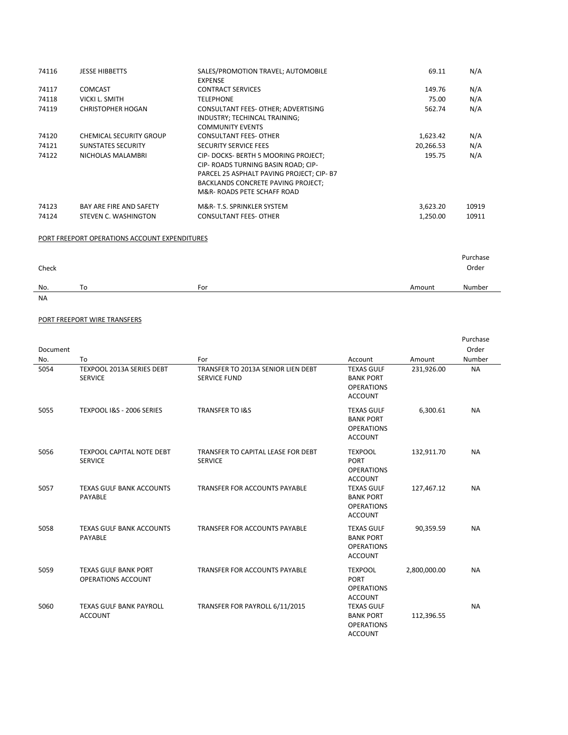| 74116          | <b>JESSE HIBBETTS</b>                           | SALES/PROMOTION TRAVEL; AUTOMOBILE<br><b>EXPENSE</b>                                                                                                                                       | 69.11                | N/A            |
|----------------|-------------------------------------------------|--------------------------------------------------------------------------------------------------------------------------------------------------------------------------------------------|----------------------|----------------|
| 74117          | <b>COMCAST</b>                                  | <b>CONTRACT SERVICES</b>                                                                                                                                                                   | 149.76               | N/A            |
| 74118          | VICKI L. SMITH                                  | TELEPHONE                                                                                                                                                                                  | 75.00                | N/A            |
| 74119          | <b>CHRISTOPHER HOGAN</b>                        | CONSULTANT FEES- OTHER; ADVERTISING<br>INDUSTRY; TECHINCAL TRAINING;<br><b>COMMUNITY EVENTS</b>                                                                                            | 562.74               | N/A            |
| 74120          | <b>CHEMICAL SECURITY GROUP</b>                  | <b>CONSULTANT FEES- OTHER</b>                                                                                                                                                              | 1,623.42             | N/A            |
| 74121          | <b>SUNSTATES SECURITY</b>                       | <b>SECURITY SERVICE FEES</b>                                                                                                                                                               | 20,266.53            | N/A            |
| 74122          | NICHOLAS MALAMBRI                               | CIP-DOCKS-BERTH 5 MOORING PROJECT;<br>CIP- ROADS TURNING BASIN ROAD; CIP-<br>PARCEL 25 ASPHALT PAVING PROJECT; CIP- B7<br>BACKLANDS CONCRETE PAVING PROJECT;<br>M&R-ROADS PETE SCHAFF ROAD | 195.75               | N/A            |
| 74123<br>74124 | BAY ARE FIRE AND SAFETY<br>STEVEN C. WASHINGTON | M&R-T.S. SPRINKLER SYSTEM<br><b>CONSULTANT FEES- OTHER</b>                                                                                                                                 | 3,623.20<br>1,250.00 | 10919<br>10911 |

### PORT FREEPORT OPERATIONS ACCOUNT EXPENDITURES

| Check |    |     |        | Purchase<br>Order |
|-------|----|-----|--------|-------------------|
| No.   | To | For | Amount | Number            |
| NA    |    |     |        |                   |

# PORT FREEPORT WIRE TRANSFERS

|          |                                                    |                                                           |                                                                              |              | Purchase  |
|----------|----------------------------------------------------|-----------------------------------------------------------|------------------------------------------------------------------------------|--------------|-----------|
| Document |                                                    |                                                           |                                                                              |              | Order     |
| No.      | To                                                 | For                                                       | Account                                                                      | Amount       | Number    |
| 5054     | TEXPOOL 2013A SERIES DEBT<br><b>SERVICE</b>        | TRANSFER TO 2013A SENIOR LIEN DEBT<br><b>SERVICE FUND</b> | <b>TEXAS GULF</b><br><b>BANK PORT</b><br><b>OPERATIONS</b><br><b>ACCOUNT</b> | 231,926.00   | <b>NA</b> |
| 5055     | TEXPOOL I&S - 2006 SERIES                          | <b>TRANSFER TO I&amp;S</b>                                | <b>TEXAS GULF</b><br><b>BANK PORT</b><br><b>OPERATIONS</b><br><b>ACCOUNT</b> | 6,300.61     | <b>NA</b> |
| 5056     | <b>TEXPOOL CAPITAL NOTE DEBT</b><br><b>SERVICE</b> | TRANSFER TO CAPITAL LEASE FOR DEBT<br><b>SERVICE</b>      | <b>TEXPOOL</b><br><b>PORT</b><br><b>OPERATIONS</b><br><b>ACCOUNT</b>         | 132,911.70   | <b>NA</b> |
| 5057     | <b>TEXAS GULF BANK ACCOUNTS</b><br>PAYABLE         | <b>TRANSFER FOR ACCOUNTS PAYABLE</b>                      | <b>TEXAS GULF</b><br><b>BANK PORT</b><br><b>OPERATIONS</b><br><b>ACCOUNT</b> | 127,467.12   | <b>NA</b> |
| 5058     | <b>TEXAS GULF BANK ACCOUNTS</b><br>PAYABLE         | TRANSFER FOR ACCOUNTS PAYABLE                             | <b>TEXAS GULF</b><br><b>BANK PORT</b><br><b>OPERATIONS</b><br><b>ACCOUNT</b> | 90,359.59    | <b>NA</b> |
| 5059     | <b>TEXAS GULF BANK PORT</b><br>OPERATIONS ACCOUNT  | <b>TRANSFER FOR ACCOUNTS PAYABLE</b>                      | <b>TEXPOOL</b><br><b>PORT</b><br><b>OPERATIONS</b><br><b>ACCOUNT</b>         | 2,800,000.00 | <b>NA</b> |
| 5060     | <b>TEXAS GULF BANK PAYROLL</b><br><b>ACCOUNT</b>   | TRANSFER FOR PAYROLL 6/11/2015                            | <b>TEXAS GULF</b><br><b>BANK PORT</b><br><b>OPERATIONS</b><br><b>ACCOUNT</b> | 112,396.55   | <b>NA</b> |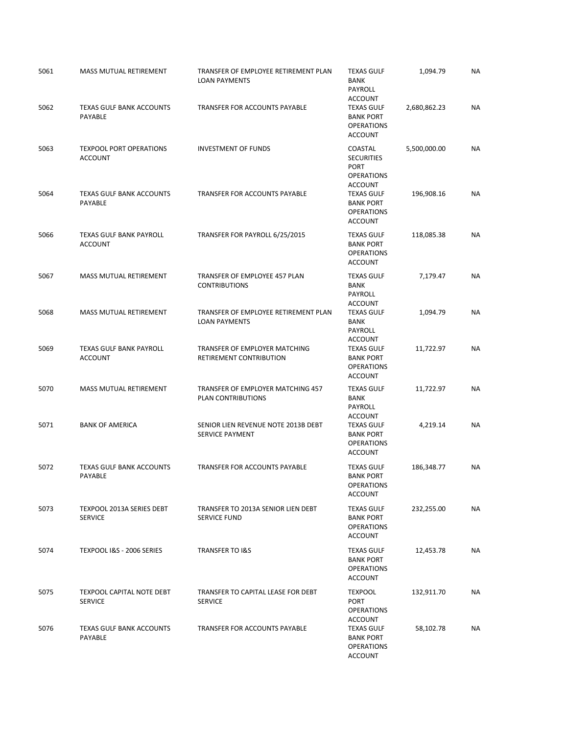| 5061 | MASS MUTUAL RETIREMENT                             | TRANSFER OF EMPLOYEE RETIREMENT PLAN<br><b>LOAN PAYMENTS</b>  | <b>TEXAS GULF</b><br><b>BANK</b><br>PAYROLL<br><b>ACCOUNT</b>                      | 1,094.79     | <b>NA</b> |
|------|----------------------------------------------------|---------------------------------------------------------------|------------------------------------------------------------------------------------|--------------|-----------|
| 5062 | <b>TEXAS GULF BANK ACCOUNTS</b><br>PAYABLE         | TRANSFER FOR ACCOUNTS PAYABLE                                 | <b>TEXAS GULF</b><br><b>BANK PORT</b><br><b>OPERATIONS</b><br><b>ACCOUNT</b>       | 2,680,862.23 | <b>NA</b> |
| 5063 | <b>TEXPOOL PORT OPERATIONS</b><br><b>ACCOUNT</b>   | <b>INVESTMENT OF FUNDS</b>                                    | COASTAL<br><b>SECURITIES</b><br><b>PORT</b><br><b>OPERATIONS</b><br><b>ACCOUNT</b> | 5,500,000.00 | <b>NA</b> |
| 5064 | <b>TEXAS GULF BANK ACCOUNTS</b><br>PAYABLE         | TRANSFER FOR ACCOUNTS PAYABLE                                 | <b>TEXAS GULF</b><br><b>BANK PORT</b><br><b>OPERATIONS</b><br><b>ACCOUNT</b>       | 196,908.16   | <b>NA</b> |
| 5066 | <b>TEXAS GULF BANK PAYROLL</b><br><b>ACCOUNT</b>   | TRANSFER FOR PAYROLL 6/25/2015                                | <b>TEXAS GULF</b><br><b>BANK PORT</b><br><b>OPERATIONS</b><br><b>ACCOUNT</b>       | 118,085.38   | <b>NA</b> |
| 5067 | MASS MUTUAL RETIREMENT                             | TRANSFER OF EMPLOYEE 457 PLAN<br><b>CONTRIBUTIONS</b>         | <b>TEXAS GULF</b><br><b>BANK</b><br><b>PAYROLL</b><br><b>ACCOUNT</b>               | 7,179.47     | <b>NA</b> |
| 5068 | MASS MUTUAL RETIREMENT                             | TRANSFER OF EMPLOYEE RETIREMENT PLAN<br><b>LOAN PAYMENTS</b>  | <b>TEXAS GULF</b><br><b>BANK</b><br>PAYROLL<br><b>ACCOUNT</b>                      | 1,094.79     | <b>NA</b> |
| 5069 | <b>TEXAS GULF BANK PAYROLL</b><br><b>ACCOUNT</b>   | TRANSFER OF EMPLOYER MATCHING<br>RETIREMENT CONTRIBUTION      | <b>TEXAS GULF</b><br><b>BANK PORT</b><br><b>OPERATIONS</b><br><b>ACCOUNT</b>       | 11,722.97    | <b>NA</b> |
| 5070 | MASS MUTUAL RETIREMENT                             | TRANSFER OF EMPLOYER MATCHING 457<br>PLAN CONTRIBUTIONS       | <b>TEXAS GULF</b><br><b>BANK</b><br>PAYROLL<br><b>ACCOUNT</b>                      | 11,722.97    | <b>NA</b> |
| 5071 | <b>BANK OF AMERICA</b>                             | SENIOR LIEN REVENUE NOTE 2013B DEBT<br><b>SERVICE PAYMENT</b> | <b>TEXAS GULF</b><br><b>BANK PORT</b><br><b>OPERATIONS</b><br><b>ACCOUNT</b>       | 4,219.14     | <b>NA</b> |
| 5072 | <b>TEXAS GULF BANK ACCOUNTS</b><br><b>PAYABLE</b>  | TRANSFER FOR ACCOUNTS PAYABLE                                 | <b>TEXAS GULF</b><br><b>BANK PORT</b><br><b>OPERATIONS</b><br><b>ACCOUNT</b>       | 186,348.77   | <b>NA</b> |
| 5073 | <b>TEXPOOL 2013A SERIES DEBT</b><br><b>SERVICE</b> | TRANSFER TO 2013A SENIOR LIEN DEBT<br><b>SERVICE FUND</b>     | <b>TEXAS GULF</b><br><b>BANK PORT</b><br><b>OPERATIONS</b><br><b>ACCOUNT</b>       | 232,255.00   | <b>NA</b> |
| 5074 | TEXPOOL I&S - 2006 SERIES                          | <b>TRANSFER TO I&amp;S</b>                                    | <b>TEXAS GULF</b><br><b>BANK PORT</b><br><b>OPERATIONS</b><br><b>ACCOUNT</b>       | 12,453.78    | NA        |
| 5075 | <b>TEXPOOL CAPITAL NOTE DEBT</b><br><b>SERVICE</b> | TRANSFER TO CAPITAL LEASE FOR DEBT<br><b>SERVICE</b>          | <b>TEXPOOL</b><br><b>PORT</b><br><b>OPERATIONS</b><br><b>ACCOUNT</b>               | 132,911.70   | NA        |
| 5076 | <b>TEXAS GULF BANK ACCOUNTS</b><br>PAYABLE         | TRANSFER FOR ACCOUNTS PAYABLE                                 | <b>TEXAS GULF</b><br><b>BANK PORT</b><br><b>OPERATIONS</b><br><b>ACCOUNT</b>       | 58,102.78    | <b>NA</b> |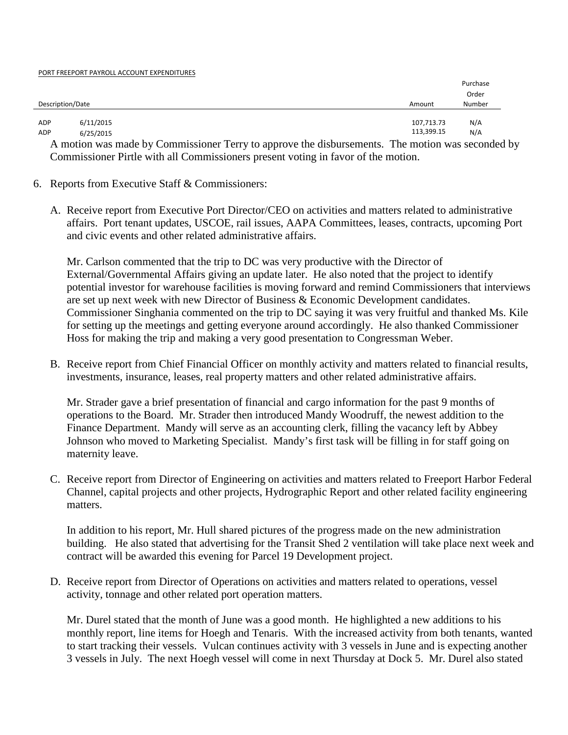#### PORT FREEPORT PAYROLL ACCOUNT EXPENDITURES

|                  |           |            | Purchase |
|------------------|-----------|------------|----------|
|                  |           |            | Order    |
| Description/Date |           | Amount     | Number   |
|                  |           |            |          |
| ADP              | 6/11/2015 | 107,713.73 | N/A      |
| ADP              | 6/25/2015 | 113,399.15 | N/A      |

A motion was made by Commissioner Terry to approve the disbursements. The motion was seconded by Commissioner Pirtle with all Commissioners present voting in favor of the motion.

## 6. Reports from Executive Staff & Commissioners:

A. Receive report from Executive Port Director/CEO on activities and matters related to administrative affairs. Port tenant updates, USCOE, rail issues, AAPA Committees, leases, contracts, upcoming Port and civic events and other related administrative affairs.

Mr. Carlson commented that the trip to DC was very productive with the Director of External/Governmental Affairs giving an update later. He also noted that the project to identify potential investor for warehouse facilities is moving forward and remind Commissioners that interviews are set up next week with new Director of Business & Economic Development candidates. Commissioner Singhania commented on the trip to DC saying it was very fruitful and thanked Ms. Kile for setting up the meetings and getting everyone around accordingly. He also thanked Commissioner Hoss for making the trip and making a very good presentation to Congressman Weber.

B. Receive report from Chief Financial Officer on monthly activity and matters related to financial results, investments, insurance, leases, real property matters and other related administrative affairs.

Mr. Strader gave a brief presentation of financial and cargo information for the past 9 months of operations to the Board. Mr. Strader then introduced Mandy Woodruff, the newest addition to the Finance Department. Mandy will serve as an accounting clerk, filling the vacancy left by Abbey Johnson who moved to Marketing Specialist. Mandy's first task will be filling in for staff going on maternity leave.

C. Receive report from Director of Engineering on activities and matters related to Freeport Harbor Federal Channel, capital projects and other projects, Hydrographic Report and other related facility engineering matters.

In addition to his report, Mr. Hull shared pictures of the progress made on the new administration building. He also stated that advertising for the Transit Shed 2 ventilation will take place next week and contract will be awarded this evening for Parcel 19 Development project.

D. Receive report from Director of Operations on activities and matters related to operations, vessel activity, tonnage and other related port operation matters.

Mr. Durel stated that the month of June was a good month. He highlighted a new additions to his monthly report, line items for Hoegh and Tenaris. With the increased activity from both tenants, wanted to start tracking their vessels. Vulcan continues activity with 3 vessels in June and is expecting another 3 vessels in July. The next Hoegh vessel will come in next Thursday at Dock 5. Mr. Durel also stated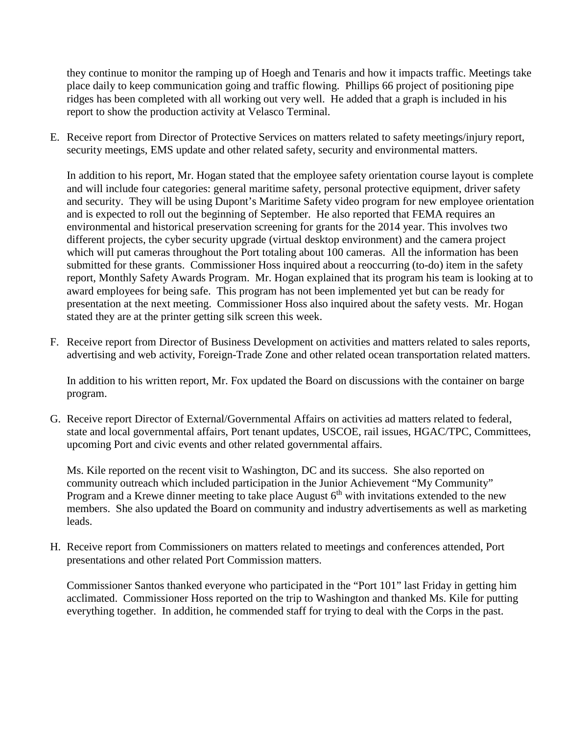they continue to monitor the ramping up of Hoegh and Tenaris and how it impacts traffic. Meetings take place daily to keep communication going and traffic flowing. Phillips 66 project of positioning pipe ridges has been completed with all working out very well. He added that a graph is included in his report to show the production activity at Velasco Terminal.

E. Receive report from Director of Protective Services on matters related to safety meetings/injury report, security meetings, EMS update and other related safety, security and environmental matters.

In addition to his report, Mr. Hogan stated that the employee safety orientation course layout is complete and will include four categories: general maritime safety, personal protective equipment, driver safety and security. They will be using Dupont's Maritime Safety video program for new employee orientation and is expected to roll out the beginning of September. He also reported that FEMA requires an environmental and historical preservation screening for grants for the 2014 year. This involves two different projects, the cyber security upgrade (virtual desktop environment) and the camera project which will put cameras throughout the Port totaling about 100 cameras. All the information has been submitted for these grants. Commissioner Hoss inquired about a reoccurring (to-do) item in the safety report, Monthly Safety Awards Program. Mr. Hogan explained that its program his team is looking at to award employees for being safe. This program has not been implemented yet but can be ready for presentation at the next meeting. Commissioner Hoss also inquired about the safety vests. Mr. Hogan stated they are at the printer getting silk screen this week.

F. Receive report from Director of Business Development on activities and matters related to sales reports, advertising and web activity, Foreign-Trade Zone and other related ocean transportation related matters.

In addition to his written report, Mr. Fox updated the Board on discussions with the container on barge program.

G. Receive report Director of External/Governmental Affairs on activities ad matters related to federal, state and local governmental affairs, Port tenant updates, USCOE, rail issues, HGAC/TPC, Committees, upcoming Port and civic events and other related governmental affairs.

Ms. Kile reported on the recent visit to Washington, DC and its success. She also reported on community outreach which included participation in the Junior Achievement "My Community" Program and a Krewe dinner meeting to take place August  $6<sup>th</sup>$  with invitations extended to the new members. She also updated the Board on community and industry advertisements as well as marketing leads.

H. Receive report from Commissioners on matters related to meetings and conferences attended, Port presentations and other related Port Commission matters.

Commissioner Santos thanked everyone who participated in the "Port 101" last Friday in getting him acclimated. Commissioner Hoss reported on the trip to Washington and thanked Ms. Kile for putting everything together. In addition, he commended staff for trying to deal with the Corps in the past.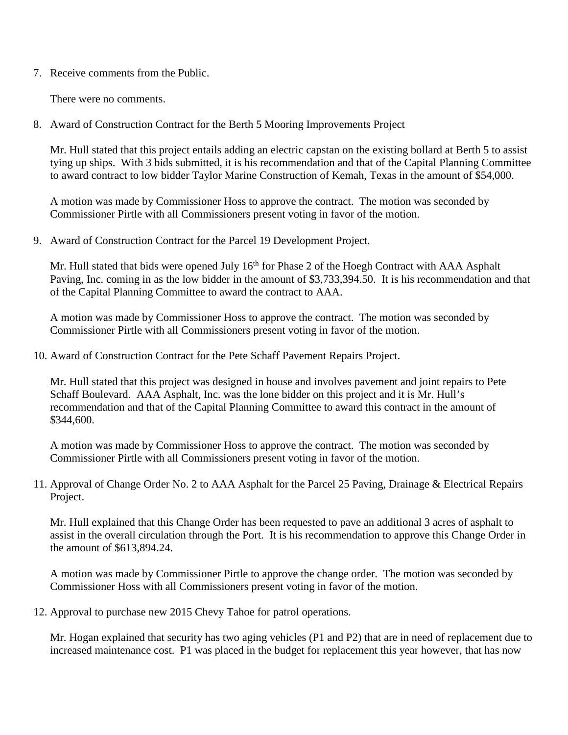7. Receive comments from the Public.

There were no comments.

8. Award of Construction Contract for the Berth 5 Mooring Improvements Project

Mr. Hull stated that this project entails adding an electric capstan on the existing bollard at Berth 5 to assist tying up ships. With 3 bids submitted, it is his recommendation and that of the Capital Planning Committee to award contract to low bidder Taylor Marine Construction of Kemah, Texas in the amount of \$54,000.

A motion was made by Commissioner Hoss to approve the contract. The motion was seconded by Commissioner Pirtle with all Commissioners present voting in favor of the motion.

9. Award of Construction Contract for the Parcel 19 Development Project.

Mr. Hull stated that bids were opened July  $16<sup>th</sup>$  for Phase 2 of the Hoegh Contract with AAA Asphalt Paving, Inc. coming in as the low bidder in the amount of \$3,733,394.50. It is his recommendation and that of the Capital Planning Committee to award the contract to AAA.

A motion was made by Commissioner Hoss to approve the contract. The motion was seconded by Commissioner Pirtle with all Commissioners present voting in favor of the motion.

10. Award of Construction Contract for the Pete Schaff Pavement Repairs Project.

Mr. Hull stated that this project was designed in house and involves pavement and joint repairs to Pete Schaff Boulevard. AAA Asphalt, Inc. was the lone bidder on this project and it is Mr. Hull's recommendation and that of the Capital Planning Committee to award this contract in the amount of \$344,600.

A motion was made by Commissioner Hoss to approve the contract. The motion was seconded by Commissioner Pirtle with all Commissioners present voting in favor of the motion.

11. Approval of Change Order No. 2 to AAA Asphalt for the Parcel 25 Paving, Drainage & Electrical Repairs Project.

Mr. Hull explained that this Change Order has been requested to pave an additional 3 acres of asphalt to assist in the overall circulation through the Port. It is his recommendation to approve this Change Order in the amount of \$613,894.24.

A motion was made by Commissioner Pirtle to approve the change order. The motion was seconded by Commissioner Hoss with all Commissioners present voting in favor of the motion.

12. Approval to purchase new 2015 Chevy Tahoe for patrol operations.

Mr. Hogan explained that security has two aging vehicles (P1 and P2) that are in need of replacement due to increased maintenance cost. P1 was placed in the budget for replacement this year however, that has now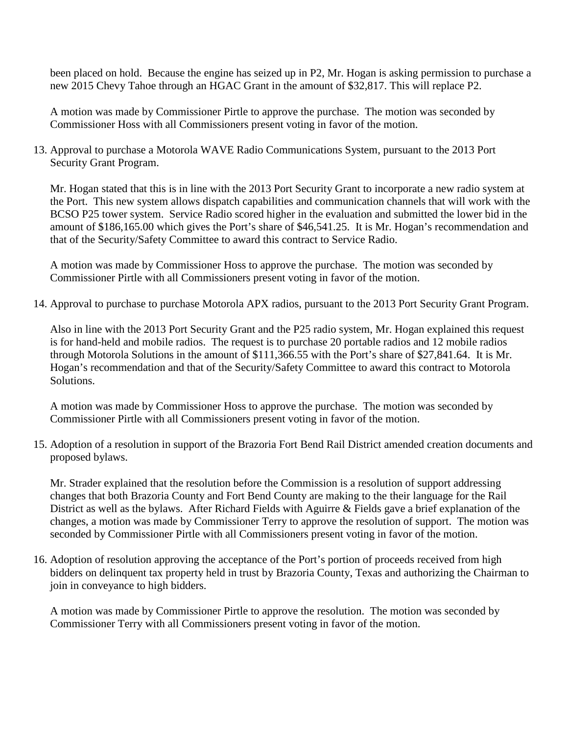been placed on hold. Because the engine has seized up in P2, Mr. Hogan is asking permission to purchase a new 2015 Chevy Tahoe through an HGAC Grant in the amount of \$32,817. This will replace P2.

A motion was made by Commissioner Pirtle to approve the purchase. The motion was seconded by Commissioner Hoss with all Commissioners present voting in favor of the motion.

13. Approval to purchase a Motorola WAVE Radio Communications System, pursuant to the 2013 Port Security Grant Program.

Mr. Hogan stated that this is in line with the 2013 Port Security Grant to incorporate a new radio system at the Port. This new system allows dispatch capabilities and communication channels that will work with the BCSO P25 tower system. Service Radio scored higher in the evaluation and submitted the lower bid in the amount of \$186,165.00 which gives the Port's share of \$46,541.25. It is Mr. Hogan's recommendation and that of the Security/Safety Committee to award this contract to Service Radio.

A motion was made by Commissioner Hoss to approve the purchase. The motion was seconded by Commissioner Pirtle with all Commissioners present voting in favor of the motion.

14. Approval to purchase to purchase Motorola APX radios, pursuant to the 2013 Port Security Grant Program.

Also in line with the 2013 Port Security Grant and the P25 radio system, Mr. Hogan explained this request is for hand-held and mobile radios. The request is to purchase 20 portable radios and 12 mobile radios through Motorola Solutions in the amount of \$111,366.55 with the Port's share of \$27,841.64. It is Mr. Hogan's recommendation and that of the Security/Safety Committee to award this contract to Motorola Solutions.

A motion was made by Commissioner Hoss to approve the purchase. The motion was seconded by Commissioner Pirtle with all Commissioners present voting in favor of the motion.

15. Adoption of a resolution in support of the Brazoria Fort Bend Rail District amended creation documents and proposed bylaws.

Mr. Strader explained that the resolution before the Commission is a resolution of support addressing changes that both Brazoria County and Fort Bend County are making to the their language for the Rail District as well as the bylaws. After Richard Fields with Aguirre & Fields gave a brief explanation of the changes, a motion was made by Commissioner Terry to approve the resolution of support. The motion was seconded by Commissioner Pirtle with all Commissioners present voting in favor of the motion.

16. Adoption of resolution approving the acceptance of the Port's portion of proceeds received from high bidders on delinquent tax property held in trust by Brazoria County, Texas and authorizing the Chairman to join in conveyance to high bidders.

A motion was made by Commissioner Pirtle to approve the resolution. The motion was seconded by Commissioner Terry with all Commissioners present voting in favor of the motion.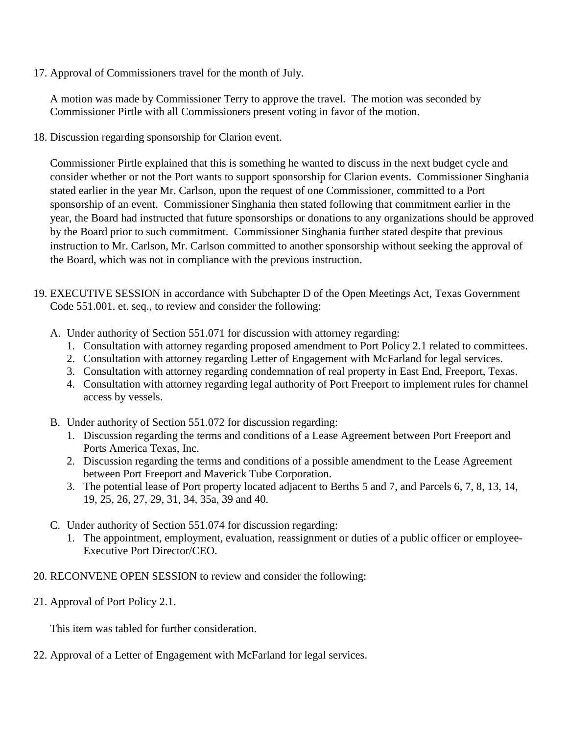17. Approval of Commissioners travel for the month of July.

A motion was made by Commissioner Terry to approve the travel. The motion was seconded by Commissioner Pirtle with all Commissioners present voting in favor of the motion.

18. Discussion regarding sponsorship for Clarion event.

Commissioner Pirtle explained that this is something he wanted to discuss in the next budget cycle and consider whether or not the Port wants to support sponsorship for Clarion events. Commissioner Singhania stated earlier in the year Mr. Carlson, upon the request of one Commissioner, committed to a Port sponsorship of an event. Commissioner Singhania then stated following that commitment earlier in the year, the Board had instructed that future sponsorships or donations to any organizations should be approved by the Board prior to such commitment. Commissioner Singhania further stated despite that previous instruction to Mr. Carlson, Mr. Carlson committed to another sponsorship without seeking the approval of the Board, which was not in compliance with the previous instruction.

- 19. EXECUTIVE SESSION in accordance with Subchapter D of the Open Meetings Act, Texas Government Code 551.001. et. seq., to review and consider the following:
	- A. Under authority of Section 551.071 for discussion with attorney regarding:
		- 1. Consultation with attorney regarding proposed amendment to Port Policy 2.1 related to committees.
		- 2. Consultation with attorney regarding Letter of Engagement with McFarland for legal services.
		- 3. Consultation with attorney regarding condemnation of real property in East End, Freeport, Texas.
		- 4. Consultation with attorney regarding legal authority of Port Freeport to implement rules for channel access by vessels.
	- B. Under authority of Section 551.072 for discussion regarding:
		- 1. Discussion regarding the terms and conditions of a Lease Agreement between Port Freeport and Ports America Texas, Inc.
		- 2. Discussion regarding the terms and conditions of a possible amendment to the Lease Agreement between Port Freeport and Maverick Tube Corporation.
		- 3. The potential lease of Port property located adjacent to Berths 5 and 7, and Parcels 6, 7, 8, 13, 14, 19, 25, 26, 27, 29, 31, 34, 35a, 39 and 40.
	- C. Under authority of Section 551.074 for discussion regarding:
		- 1. The appointment, employment, evaluation, reassignment or duties of a public officer or employee-Executive Port Director/CEO.
- 20. RECONVENE OPEN SESSION to review and consider the following:
- 21. Approval of Port Policy 2.1.

This item was tabled for further consideration.

22. Approval of a Letter of Engagement with McFarland for legal services.